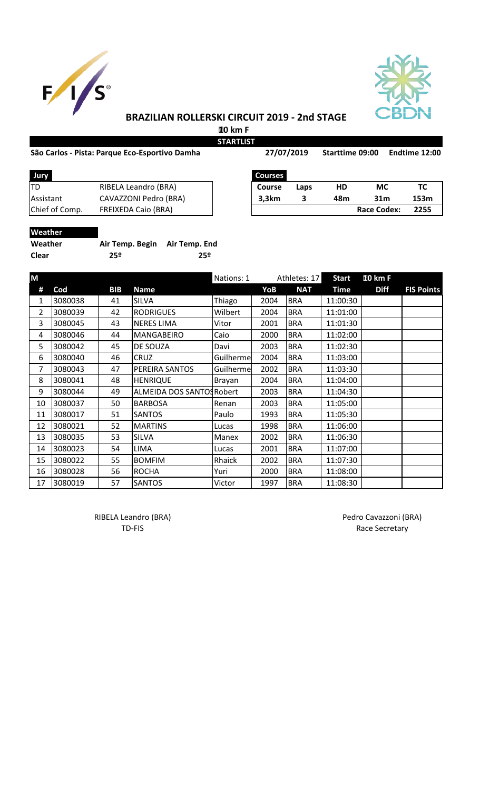



### **BRAZILIAN ROLLERSKI CIRCUIT 2019 - 2nd STAGE**

 **10 km F**

#### São Carlos - Pista: Parque Eco-Esportivo Damha **Sanda 27/07/2019** Starttime 09:00 Endtime 12:00

**STARTLIST**

**27/07/2019**

| Jury             |                            | <b>Courses</b> |      |     |                    |     |
|------------------|----------------------------|----------------|------|-----|--------------------|-----|
| ltd              | RIBELA Leandro (BRA)       | <b>Course</b>  | Laps | НD  | МC                 | тс  |
| <b>Assistant</b> | CAVAZZONI Pedro (BRA)      | 3,3km          |      | 48m | 31 <sub>m</sub>    | 153 |
| Chief of Comp.   | <b>FREIXEDA Caio (BRA)</b> |                |      |     | <b>Race Codex:</b> | 225 |
|                  |                            |                |      |     |                    |     |

| Jury           |                       | <b>Courses</b> |      |     |                    |      |
|----------------|-----------------------|----------------|------|-----|--------------------|------|
| TD             | RIBELA Leandro (BRA)  | <b>Course</b>  | Laps | HD  | МC                 |      |
| Assistant      | CAVAZZONI Pedro (BRA) | 3.3km          |      | 48m | 31m                | 153m |
| Chief of Comp. | FREIXEDA Caio (BRA)   |                |      |     | <b>Race Codex:</b> | 2255 |

## **Weather**

| Weather      | Air Temp. Begin Air Temp. End |     |
|--------------|-------------------------------|-----|
| <b>Clear</b> | 25º                           | 25º |

| M  |         |            |                           | Nations: 1 |      | Athletes: 17 | <b>Start</b> | <b>10 km F</b> |                   |
|----|---------|------------|---------------------------|------------|------|--------------|--------------|----------------|-------------------|
| #  | Cod     | <b>BIB</b> | <b>Name</b>               |            | YoB  | <b>NAT</b>   | <b>Time</b>  | <b>Diff</b>    | <b>FIS Points</b> |
| 1  | 3080038 | 41         | <b>SILVA</b>              | Thiago     | 2004 | <b>BRA</b>   | 11:00:30     |                |                   |
| 2  | 3080039 | 42         | <b>RODRIGUES</b>          | Wilbert    | 2004 | <b>BRA</b>   | 11:01:00     |                |                   |
| 3  | 3080045 | 43         | <b>NERES LIMA</b>         | Vitor      | 2001 | <b>BRA</b>   | 11:01:30     |                |                   |
| 4  | 3080046 | 44         | <b>MANGABEIRO</b>         | Caio       | 2000 | <b>BRA</b>   | 11:02:00     |                |                   |
| 5  | 3080042 | 45         | DE SOUZA                  | Davi       | 2003 | <b>BRA</b>   | 11:02:30     |                |                   |
| 6  | 3080040 | 46         | <b>CRUZ</b>               | Guilherme  | 2004 | <b>BRA</b>   | 11:03:00     |                |                   |
| 7  | 3080043 | 47         | PEREIRA SANTOS            | Guilherme  | 2002 | <b>BRA</b>   | 11:03:30     |                |                   |
| 8  | 3080041 | 48         | <b>HENRIQUE</b>           | Brayan     | 2004 | <b>BRA</b>   | 11:04:00     |                |                   |
| 9  | 3080044 | 49         | ALMEIDA DOS SANTOS Robert |            | 2003 | <b>BRA</b>   | 11:04:30     |                |                   |
| 10 | 3080037 | 50         | <b>BARBOSA</b>            | Renan      | 2003 | <b>BRA</b>   | 11:05:00     |                |                   |
| 11 | 3080017 | 51         | <b>SANTOS</b>             | Paulo      | 1993 | <b>BRA</b>   | 11:05:30     |                |                   |
| 12 | 3080021 | 52         | <b>MARTINS</b>            | Lucas      | 1998 | <b>BRA</b>   | 11:06:00     |                |                   |
| 13 | 3080035 | 53         | <b>SILVA</b>              | Manex      | 2002 | <b>BRA</b>   | 11:06:30     |                |                   |
| 14 | 3080023 | 54         | <b>LIMA</b>               | Lucas      | 2001 | <b>BRA</b>   | 11:07:00     |                |                   |
| 15 | 3080022 | 55         | <b>BOMFIM</b>             | Rhaick     | 2002 | <b>BRA</b>   | 11:07:30     |                |                   |
| 16 | 3080028 | 56         | <b>ROCHA</b>              | Yuri       | 2000 | <b>BRA</b>   | 11:08:00     |                |                   |
| 17 | 3080019 | 57         | <b>SANTOS</b>             | Victor     | 1997 | <b>BRA</b>   | 11:08:30     |                |                   |

RIBELA Leandro (BRA) **Pedro Cavazzoni** (BRA)

TD-FIS Race Secretary